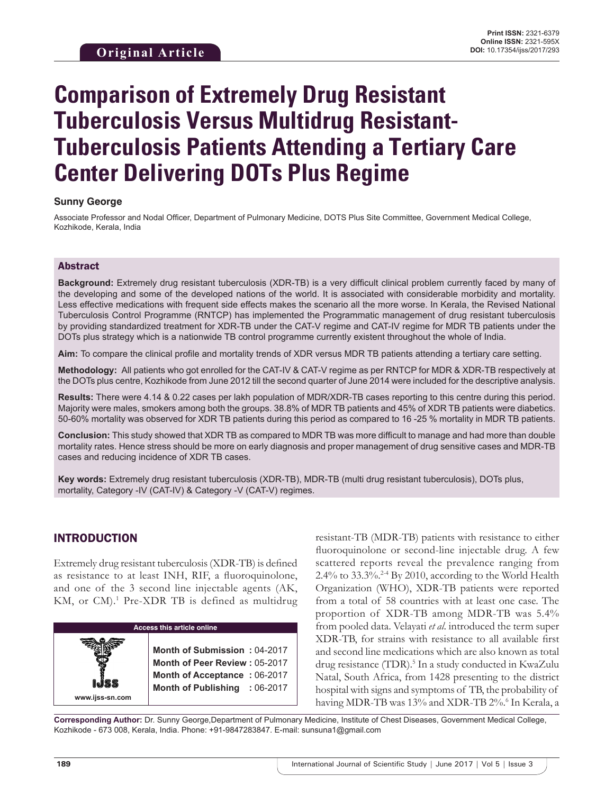# **Comparison of Extremely Drug Resistant Tuberculosis Versus Multidrug Resistant-Tuberculosis Patients Attending a Tertiary Care Center Delivering DOTs Plus Regime**

## **Sunny George**

Associate Professor and Nodal Officer, Department of Pulmonary Medicine, DOTS Plus Site Committee, Government Medical College, Kozhikode, Kerala, India

## Abstract

**Background:** Extremely drug resistant tuberculosis (XDR-TB) is a very difficult clinical problem currently faced by many of the developing and some of the developed nations of the world. It is associated with considerable morbidity and mortality. Less effective medications with frequent side effects makes the scenario all the more worse. In Kerala, the Revised National Tuberculosis Control Programme (RNTCP) has implemented the Programmatic management of drug resistant tuberculosis by providing standardized treatment for XDR-TB under the CAT-V regime and CAT-IV regime for MDR TB patients under the DOTs plus strategy which is a nationwide TB control programme currently existent throughout the whole of India.

**Aim:** To compare the clinical profile and mortality trends of XDR versus MDR TB patients attending a tertiary care setting.

**Methodology:** All patients who got enrolled for the CAT-IV & CAT-V regime as per RNTCP for MDR & XDR-TB respectively at the DOTs plus centre, Kozhikode from June 2012 till the second quarter of June 2014 were included for the descriptive analysis.

**Results:** There were 4.14 & 0.22 cases per lakh population of MDR/XDR-TB cases reporting to this centre during this period. Majority were males, smokers among both the groups. 38.8% of MDR TB patients and 45% of XDR TB patients were diabetics. 50-60% mortality was observed for XDR TB patients during this period as compared to 16 -25 % mortality in MDR TB patients.

**Conclusion:** This study showed that XDR TB as compared to MDR TB was more difficult to manage and had more than double mortality rates. Hence stress should be more on early diagnosis and proper management of drug sensitive cases and MDR-TB cases and reducing incidence of XDR TB cases.

**Key words:** Extremely drug resistant tuberculosis (XDR-TB), MDR-TB (multi drug resistant tuberculosis), DOTs plus, mortality, Category -IV (CAT-IV) & Category -V (CAT-V) regimes.

# INTRODUCTION

Extremely drug resistant tuberculosis (XDR-TB) is defined as resistance to at least INH, RIF, a fluoroquinolone, and one of the 3 second line injectable agents (AK, KM, or CM).<sup>1</sup> Pre-XDR TB is defined as multidrug



resistant-TB (MDR-TB) patients with resistance to either fluoroquinolone or second-line injectable drug. A few scattered reports reveal the prevalence ranging from 2.4% to 33.3%.<sup>2-4</sup> By 2010, according to the World Health Organization (WHO), XDR-TB patients were reported from a total of 58 countries with at least one case. The proportion of XDR-TB among MDR-TB was 5.4% from pooled data. Velayati *et al*. introduced the term super XDR-TB, for strains with resistance to all available first and second line medications which are also known as total drug resistance (TDR).<sup>5</sup> In a study conducted in KwaZulu Natal, South Africa, from 1428 presenting to the district hospital with signs and symptoms of TB, the probability of having MDR-TB was 13% and XDR-TB 2%.<sup>6</sup> In Kerala, a

**Corresponding Author:** Dr. Sunny George,Department of Pulmonary Medicine, Institute of Chest Diseases, Government Medical College, Kozhikode - 673 008, Kerala, India. Phone: +91-9847283847. E-mail: sunsuna1@gmail.com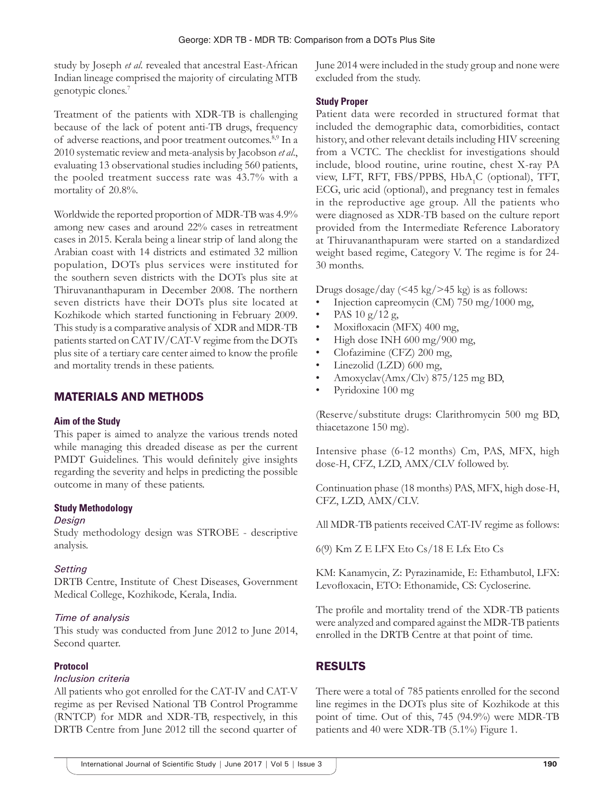study by Joseph *et al*. revealed that ancestral East-African Indian lineage comprised the majority of circulating MTB genotypic clones.<sup>7</sup>

Treatment of the patients with XDR-TB is challenging because of the lack of potent anti-TB drugs, frequency of adverse reactions, and poor treatment outcomes.<sup>8,9</sup> In a 2010 systematic review and meta-analysis by Jacobson *et al*., evaluating 13 observational studies including 560 patients, the pooled treatment success rate was 43.7% with a mortality of 20.8%.

Worldwide the reported proportion of MDR-TB was 4.9% among new cases and around 22% cases in retreatment cases in 2015. Kerala being a linear strip of land along the Arabian coast with 14 districts and estimated 32 million population, DOTs plus services were instituted for the southern seven districts with the DOTs plus site at Thiruvananthapuram in December 2008. The northern seven districts have their DOTs plus site located at Kozhikode which started functioning in February 2009. This study is a comparative analysis of XDR and MDR‑TB patients started on CAT IV/CAT-V regime from the DOTs plus site of a tertiary care center aimed to know the profile and mortality trends in these patients.

# MATERIALS AND METHODS

#### **Aim of the Study**

This paper is aimed to analyze the various trends noted while managing this dreaded disease as per the current PMDT Guidelines. This would definitely give insights regarding the severity and helps in predicting the possible outcome in many of these patients.

#### **Study Methodology**

#### *Design*

Study methodology design was STROBE - descriptive analysis.

#### *Setting*

DRTB Centre, Institute of Chest Diseases, Government Medical College, Kozhikode, Kerala, India.

## *Time of analysis*

This study was conducted from June 2012 to June 2014, Second quarter.

## **Protocol**

#### *Inclusion criteria*

All patients who got enrolled for the CAT-IV and CAT-V regime as per Revised National TB Control Programme (RNTCP) for MDR and XDR-TB, respectively, in this DRTB Centre from June 2012 till the second quarter of June 2014 were included in the study group and none were excluded from the study.

## **Study Proper**

Patient data were recorded in structured format that included the demographic data, comorbidities, contact history, and other relevant details including HIV screening from a VCTC. The checklist for investigations should include, blood routine, urine routine, chest X-ray PA view, LFT, RFT, FBS/PPBS, HbA<sub>1</sub>C (optional), TFT, ECG, uric acid (optional), and pregnancy test in females in the reproductive age group. All the patients who were diagnosed as XDR-TB based on the culture report provided from the Intermediate Reference Laboratory at Thiruvananthapuram were started on a standardized weight based regime, Category V. The regime is for 24- 30 months.

Drugs dosage/day  $\left($  <45 kg/> kg/>45 kg) is as follows:

- Injection capreomycin (CM) 750 mg/1000 mg,
- PAS  $10 g/12 g$ ,
- Moxifloxacin (MFX) 400 mg,
- High dose INH 600 mg/900 mg,
- Clofazimine (CFZ) 200 mg,
- Linezolid (LZD) 600 mg,
- Amoxyclav(Amx/Clv) 875/125 mg BD,
- Pyridoxine 100 mg

(Reserve/substitute drugs: Clarithromycin 500 mg BD, thiacetazone 150 mg).

Intensive phase (6-12 months) Cm, PAS, MFX, high dose-H, CFZ, LZD, AMX/CLV followed by.

Continuation phase (18 months) PAS, MFX, high dose-H, CFZ, LZD, AMX/CLV.

All MDR-TB patients received CAT-IV regime as follows:

6(9) Km Z E LFX Eto Cs/18 E Lfx Eto Cs

KM: Kanamycin, Z: Pyrazinamide, E: Ethambutol, LFX: Levofloxacin, ETO: Ethonamide, CS: Cycloserine.

The profile and mortality trend of the XDR-TB patients were analyzed and compared against the MDR-TB patients enrolled in the DRTB Centre at that point of time.

# RESULTS

There were a total of 785 patients enrolled for the second line regimes in the DOTs plus site of Kozhikode at this point of time. Out of this, 745 (94.9%) were MDR-TB patients and 40 were XDR-TB (5.1%) Figure 1.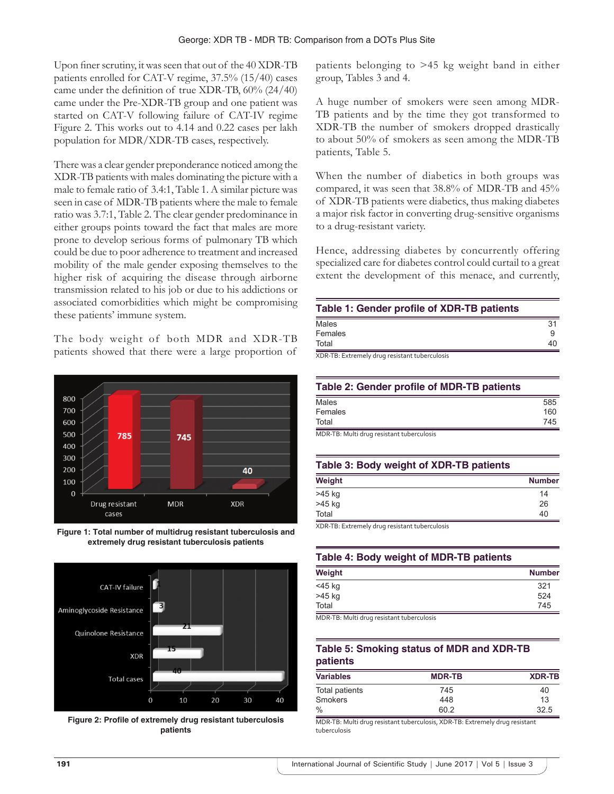Upon finer scrutiny, it was seen that out of the 40 XDR-TB patients enrolled for CAT-V regime, 37.5% (15/40) cases came under the definition of true XDR-TB, 60% (24/40) came under the Pre-XDR-TB group and one patient was started on CAT-V following failure of CAT-IV regime Figure 2. This works out to 4.14 and 0.22 cases per lakh population for MDR/XDR-TB cases, respectively.

There was a clear gender preponderance noticed among the XDR-TB patients with males dominating the picture with a male to female ratio of 3.4:1, Table 1. A similar picture was seen in case of MDR-TB patients where the male to female ratio was 3.7:1, Table 2. The clear gender predominance in either groups points toward the fact that males are more prone to develop serious forms of pulmonary TB which could be due to poor adherence to treatment and increased mobility of the male gender exposing themselves to the higher risk of acquiring the disease through airborne transmission related to his job or due to his addictions or associated comorbidities which might be compromising these patients' immune system.

The body weight of both MDR and XDR-TB patients showed that there were a large proportion of



**Figure 1: Total number of multidrug resistant tuberculosis and extremely drug resistant tuberculosis patients**



**Figure 2: Profile of extremely drug resistant tuberculosis patients**

patients belonging to >45 kg weight band in either group, Tables 3 and 4.

A huge number of smokers were seen among MDR-TB patients and by the time they got transformed to XDR-TB the number of smokers dropped drastically to about 50% of smokers as seen among the MDR-TB patients, Table 5.

When the number of diabetics in both groups was compared, it was seen that 38.8% of MDR-TB and 45% of XDR-TB patients were diabetics, thus making diabetes a major risk factor in converting drug-sensitive organisms to a drug-resistant variety.

Hence, addressing diabetes by concurrently offering specialized care for diabetes control could curtail to a great extent the development of this menace, and currently,

| Table 1: Gender profile of XDR-TB patients |  |
|--------------------------------------------|--|
| Molon                                      |  |

| Males                                         | 31 |
|-----------------------------------------------|----|
| Females                                       |    |
| Total                                         | 40 |
| XDR-TB: Extremely drug resistant tuberculosis |    |

| Table 2: Gender profile of MDR-TB patients |     |
|--------------------------------------------|-----|
| Males                                      | 585 |
| Females                                    | 160 |
| Total                                      | 745 |

MDR‑TB: Multi drug resistant tuberculosis

#### **Table 3: Body weight of XDR‑TB patients**

| Weight      | <b>Number</b> |
|-------------|---------------|
| >45 kg      | 14            |
| >45 kg      | 26            |
| Total       | 40            |
| $\sim$<br>. |               |

XDR‑TB: Extremely drug resistant tuberculosis

|  | Table 4: Body weight of MDR-TB patients |  |  |
|--|-----------------------------------------|--|--|
|  |                                         |  |  |

| Weight                                                                                                                 | <b>Number</b> |
|------------------------------------------------------------------------------------------------------------------------|---------------|
| $<$ 45 kg                                                                                                              | 321           |
| >45 kg                                                                                                                 | 524           |
| Total                                                                                                                  | 745           |
| ___<br>the contract of the contract of the contract of the contract of the contract of the contract of the contract of |               |

MDR‑TB: Multi drug resistant tuberculosis

# **Table 5: Smoking status of MDR and XDR‑TB patients**

| <b>Variables</b> | <b>MDR-TB</b> | <b>XDR-TB</b> |
|------------------|---------------|---------------|
| Total patients   | 745           | 40            |
| <b>Smokers</b>   | 448           | 13            |
| $\%$             | 60.2          | 32.5          |

MDR‑TB: Multi drug resistant tuberculosis, XDR‑TB: Extremely drug resistant tuberculosis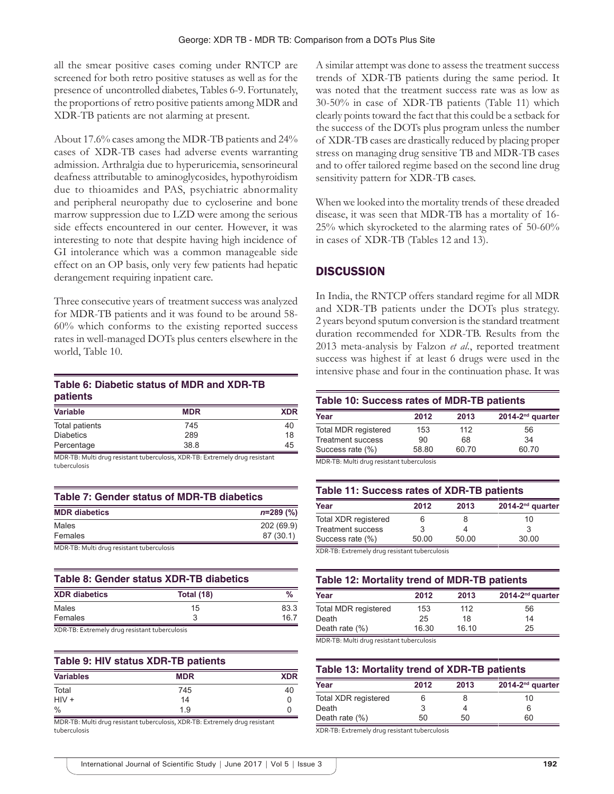all the smear positive cases coming under RNTCP are screened for both retro positive statuses as well as for the presence of uncontrolled diabetes, Tables 6-9. Fortunately, the proportions of retro positive patients among MDR and XDR-TB patients are not alarming at present.

About 17.6% cases among the MDR-TB patients and 24% cases of XDR-TB cases had adverse events warranting admission. Arthralgia due to hyperuricemia, sensorineural deafness attributable to aminoglycosides, hypothyroidism due to thioamides and PAS, psychiatric abnormality and peripheral neuropathy due to cycloserine and bone marrow suppression due to LZD were among the serious side effects encountered in our center. However, it was interesting to note that despite having high incidence of GI intolerance which was a common manageable side effect on an OP basis, only very few patients had hepatic derangement requiring inpatient care.

Three consecutive years of treatment success was analyzed for MDR-TB patients and it was found to be around 58- 60% which conforms to the existing reported success rates in well-managed DOTs plus centers elsewhere in the world, Table 10.

# **Table 6: Diabetic status of MDR and XDR‑TB patients**

| <b>Variable</b>  | <b>MDR</b> | <b>XDR</b> |
|------------------|------------|------------|
| Total patients   | 745        | 40         |
| <b>Diabetics</b> | 289        | 18         |
| Percentage       | 38.8       | 45         |

MDR‑TB: Multi drug resistant tuberculosis, XDR‑TB: Extremely drug resistant tuberculosis

| Table 7: Gender status of MDR-TB diabetics |             |  |
|--------------------------------------------|-------------|--|
| <b>MDR</b> diabetics                       | $n=289$ (%) |  |
| Males                                      | 202 (69.9)  |  |
| Females                                    | 87 (30.1)   |  |
| .<br>.                                     |             |  |

MDR‑TB: Multi drug resistant tuberculosis

| Table 8: Gender status XDR-TB diabetics                                         |            |      |
|---------------------------------------------------------------------------------|------------|------|
| <b>XDR</b> diabetics                                                            | Total (18) | %    |
| Males                                                                           | 15         | 83.3 |
| Females                                                                         |            | 16.7 |
| the contract of the contract of the contract of the contract of the contract of |            |      |

XDR‑TB: Extremely drug resistant tuberculosis

## **Table 9: HIV status XDR‑TB patients**

| <b>Variables</b> | <b>MDR</b> | <b>XDR</b> |
|------------------|------------|------------|
| Total            | 745        | 40         |
| $HIV +$          | 14         |            |
| $\%$             | 1.9        |            |

MDR‑TB: Multi drug resistant tuberculosis, XDR‑TB: Extremely drug resistant tuberculosis

A similar attempt was done to assess the treatment success trends of XDR-TB patients during the same period. It was noted that the treatment success rate was as low as 30-50% in case of XDR-TB patients (Table 11) which clearly points toward the fact that this could be a setback for the success of the DOTs plus program unless the number of XDR-TB cases are drastically reduced by placing proper stress on managing drug sensitive TB and MDR-TB cases and to offer tailored regime based on the second line drug sensitivity pattern for XDR-TB cases.

When we looked into the mortality trends of these dreaded disease, it was seen that MDR-TB has a mortality of 16- 25% which skyrocketed to the alarming rates of 50-60% in cases of XDR-TB (Tables 12 and 13).

# **DISCUSSION**

In India, the RNTCP offers standard regime for all MDR and XDR-TB patients under the DOTs plus strategy. 2 years beyond sputum conversion is the standard treatment duration recommended for XDR-TB. Results from the 2013 meta-analysis by Falzon *et al*., reported treatment success was highest if at least 6 drugs were used in the intensive phase and four in the continuation phase. It was

| Year                                      | 2012  | 2013  | 2014-2 <sup>nd</sup> quarter |
|-------------------------------------------|-------|-------|------------------------------|
| Total MDR registered                      | 153   | 112   | 56                           |
| <b>Treatment success</b>                  | 90    | 68    | 34                           |
| Success rate (%)                          | 58.80 | 60.70 | 60.70                        |
| MDR-TR: Multi drug resistant tuberculosis |       |       |                              |

MDR‑TB: Multi drug resistant tuberculosis

| Table 11: Success rates of XDR-TB patients |       |       |                              |
|--------------------------------------------|-------|-------|------------------------------|
| Year                                       | 2012  | 2013  | 2014-2 <sup>nd</sup> quarter |
| <b>Total XDR registered</b>                | 6     |       | 10                           |
| <b>Treatment success</b>                   | 3     |       | 3                            |
| Success rate (%)                           | 50.00 | 50.00 | 30.00                        |

XDR‑TB: Extremely drug resistant tuberculosis

| Table 12: Mortality trend of MDR-TB patients |       |       |                              |
|----------------------------------------------|-------|-------|------------------------------|
| Year                                         | 2012  | 2013  | 2014-2 <sup>nd</sup> quarter |
| <b>Total MDR registered</b>                  | 153   | 112   | 56                           |
| Death                                        | 25    | 18    | 14                           |
| Death rate $(\%)$                            | 16.30 | 16.10 | 25                           |
| MDR.TR: Multi drug resistant tuberculosis    |       |       |                              |

MDR‑TB: Multi drug resistant tuberculosis

| Table 13: Mortality trend of XDR-TB patients |      |      |                      |  |
|----------------------------------------------|------|------|----------------------|--|
| Year                                         | 2012 | 2013 | $2014 - 2nd$ quarter |  |
| <b>Total XDR registered</b>                  |      |      | 10                   |  |

| rear                 | 2012 | 20 I.J | zu 14-z auarter |
|----------------------|------|--------|-----------------|
| Total XDR registered |      |        | 10              |
| Death                |      |        |                 |
| Death rate (%)       | 50   | 50     | 60              |
|                      |      |        |                 |

XDR‑TB: Extremely drug resistant tuberculosis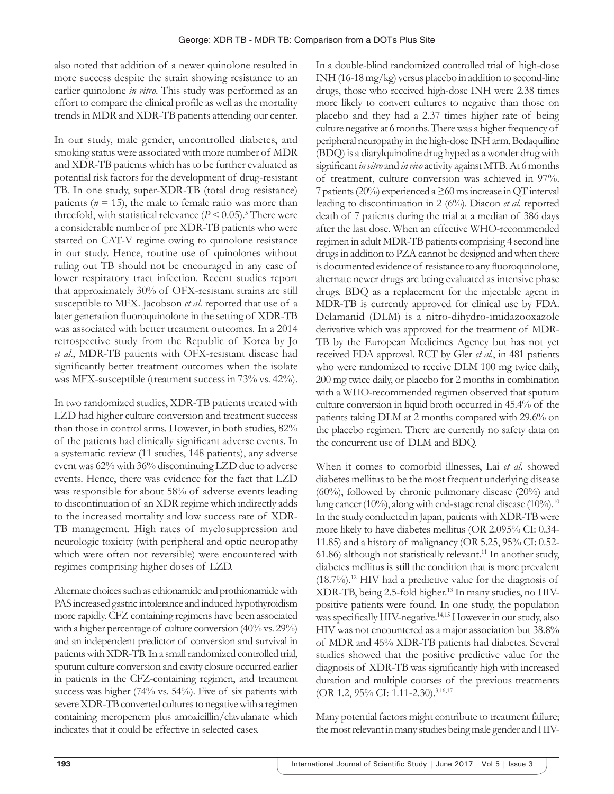also noted that addition of a newer quinolone resulted in more success despite the strain showing resistance to an earlier quinolone *in vitro*. This study was performed as an effort to compare the clinical profile as well as the mortality trends in MDR and XDR-TB patients attending our center.

In our study, male gender, uncontrolled diabetes, and smoking status were associated with more number of MDR and XDR-TB patients which has to be further evaluated as potential risk factors for the development of drug-resistant TB. In one study, super-XDR-TB (total drug resistance) patients ( $n = 15$ ), the male to female ratio was more than threefold, with statistical relevance  $(P < 0.05)$ .<sup>5</sup> There were a considerable number of pre XDR-TB patients who were started on CAT-V regime owing to quinolone resistance in our study. Hence, routine use of quinolones without ruling out TB should not be encouraged in any case of lower respiratory tract infection. Recent studies report that approximately 30% of OFX-resistant strains are still susceptible to MFX. Jacobson *et al*. reported that use of a later generation fluoroquinolone in the setting of XDR-TB was associated with better treatment outcomes. In a 2014 retrospective study from the Republic of Korea by Jo *et al*., MDR-TB patients with OFX-resistant disease had significantly better treatment outcomes when the isolate was MFX-susceptible (treatment success in 73% vs. 42%).

In two randomized studies, XDR-TB patients treated with LZD had higher culture conversion and treatment success than those in control arms. However, in both studies, 82% of the patients had clinically significant adverse events. In a systematic review (11 studies, 148 patients), any adverse event was 62% with 36% discontinuing LZD due to adverse events. Hence, there was evidence for the fact that LZD was responsible for about 58% of adverse events leading to discontinuation of an XDR regime which indirectly adds to the increased mortality and low success rate of XDR-TB management. High rates of myelosuppression and neurologic toxicity (with peripheral and optic neuropathy which were often not reversible) were encountered with regimes comprising higher doses of LZD.

Alternate choices such as ethionamide and prothionamide with PAS increased gastric intolerance and induced hypothyroidism more rapidly. CFZ containing regimens have been associated with a higher percentage of culture conversion (40% vs. 29%) and an independent predictor of conversion and survival in patients with XDR-TB. In a small randomized controlled trial, sputum culture conversion and cavity closure occurred earlier in patients in the CFZ-containing regimen, and treatment success was higher (74% vs. 54%). Five of six patients with severe XDR-TB converted cultures to negative with a regimen containing meropenem plus amoxicillin/clavulanate which indicates that it could be effective in selected cases.

In a double-blind randomized controlled trial of high-dose INH (16-18mg/kg) versus placebo in addition to second-line drugs, those who received high-dose INH were 2.38 times more likely to convert cultures to negative than those on placebo and they had a 2.37 times higher rate of being culture negative at 6 months. There was a higher frequency of peripheral neuropathy in the high-dose INH arm. Bedaquiline (BDQ) is a diarylquinoline drug hyped as a wonder drug with significant *in vitro* and *in vivo* activity against MTB. At 6 months of treatment, culture conversion was achieved in 97%. 7 patients (20%) experienced a ≥60 ms increase in QT interval leading to discontinuation in 2 (6%). Diacon *et al*. reported death of 7 patients during the trial at a median of 386 days after the last dose. When an effective WHO-recommended regimen in adult MDR-TB patients comprising 4 second line drugs in addition to PZA cannot be designed and when there is documented evidence of resistance to any fluoroquinolone, alternate newer drugs are being evaluated as intensive phase drugs. BDQ as a replacement for the injectable agent in MDR-TB is currently approved for clinical use by FDA. Delamanid (DLM) is a nitro-dihydro-imidazooxazole derivative which was approved for the treatment of MDR-TB by the European Medicines Agency but has not yet received FDA approval. RCT by Gler *et al*., in 481 patients who were randomized to receive DLM 100 mg twice daily, 200 mg twice daily, or placebo for 2 months in combination with a WHO-recommended regimen observed that sputum culture conversion in liquid broth occurred in 45.4% of the patients taking DLM at 2 months compared with 29.6% on the placebo regimen. There are currently no safety data on the concurrent use of DLM and BDQ.

When it comes to comorbid illnesses, Lai *et al*. showed diabetes mellitus to be the most frequent underlying disease (60%), followed by chronic pulmonary disease (20%) and lung cancer (10%), along with end-stage renal disease (10%).<sup>10</sup> In the study conducted in Japan, patients with XDR-TB were more likely to have diabetes mellitus (OR 2.095% CI: 0.34- 11.85) and a history of malignancy (OR 5.25, 95% CI: 0.52- 61.86) although not statistically relevant.<sup>11</sup> In another study, diabetes mellitus is still the condition that is more prevalent  $(18.7\%)$ <sup>12</sup> HIV had a predictive value for the diagnosis of XDR-TB, being 2.5-fold higher.13 In many studies, no HIVpositive patients were found. In one study, the population was specifically HIV-negative.<sup>14,15</sup> However in our study, also HIV was not encountered as a major association but 38.8% of MDR and 45% XDR-TB patients had diabetes. Several studies showed that the positive predictive value for the diagnosis of XDR-TB was significantly high with increased duration and multiple courses of the previous treatments (OR 1.2, 95% CI: 1.11-2.30).<sup>3,16,17</sup>

Many potential factors might contribute to treatment failure; the most relevant in many studies being male gender and HIV-